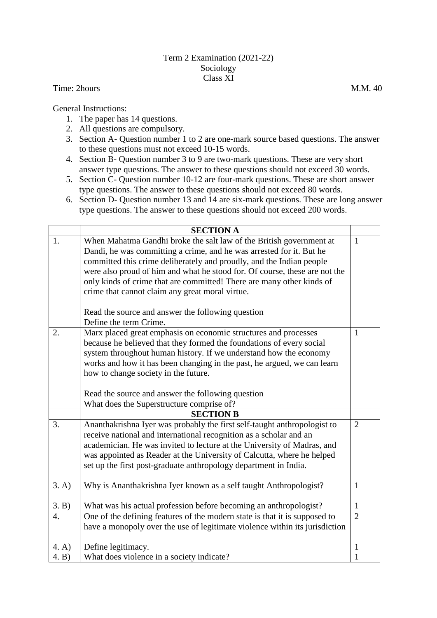## Term 2 Examination (2021-22) Sociology Class XI

Time: 2hours M.M. 40

General Instructions:

- 1. The paper has 14 questions.
- 2. All questions are compulsory.
- 3. Section A- Question number 1 to 2 are one-mark source based questions. The answer to these questions must not exceed 10-15 words.
- 4. Section B- Question number 3 to 9 are two-mark questions. These are very short answer type questions. The answer to these questions should not exceed 30 words.
- 5. Section C- Question number 10-12 are four-mark questions. These are short answer type questions. The answer to these questions should not exceed 80 words.
- 6. Section D- Question number 13 and 14 are six-mark questions. These are long answer type questions. The answer to these questions should not exceed 200 words.

|       | <b>SECTION A</b>                                                            |                |
|-------|-----------------------------------------------------------------------------|----------------|
| 1.    | When Mahatma Gandhi broke the salt law of the British government at         | $\mathbf{1}$   |
|       | Dandi, he was committing a crime, and he was arrested for it. But he        |                |
|       | committed this crime deliberately and proudly, and the Indian people        |                |
|       | were also proud of him and what he stood for. Of course, these are not the  |                |
|       | only kinds of crime that are committed! There are many other kinds of       |                |
|       | crime that cannot claim any great moral virtue.                             |                |
|       | Read the source and answer the following question                           |                |
|       | Define the term Crime.                                                      |                |
| 2.    | Marx placed great emphasis on economic structures and processes             | 1              |
|       | because he believed that they formed the foundations of every social        |                |
|       | system throughout human history. If we understand how the economy           |                |
|       | works and how it has been changing in the past, he argued, we can learn     |                |
|       | how to change society in the future.                                        |                |
|       |                                                                             |                |
|       | Read the source and answer the following question                           |                |
|       | What does the Superstructure comprise of?                                   |                |
|       | <b>SECTION B</b>                                                            |                |
| 3.    | Ananthakrishna Iyer was probably the first self-taught anthropologist to    | $\overline{2}$ |
|       | receive national and international recognition as a scholar and an          |                |
|       | academician. He was invited to lecture at the University of Madras, and     |                |
|       | was appointed as Reader at the University of Calcutta, where he helped      |                |
|       | set up the first post-graduate anthropology department in India.            |                |
| 3. A) | Why is Ananthakrishna Iyer known as a self taught Anthropologist?           | $\mathbf{1}$   |
| 3. B) | What was his actual profession before becoming an anthropologist?           | $\mathbf{1}$   |
| 4.    | One of the defining features of the modern state is that it is supposed to  | $\overline{2}$ |
|       | have a monopoly over the use of legitimate violence within its jurisdiction |                |
|       |                                                                             |                |
| 4. A) | Define legitimacy.                                                          | $\mathbf 1$    |
| 4. B) | What does violence in a society indicate?                                   | 1              |